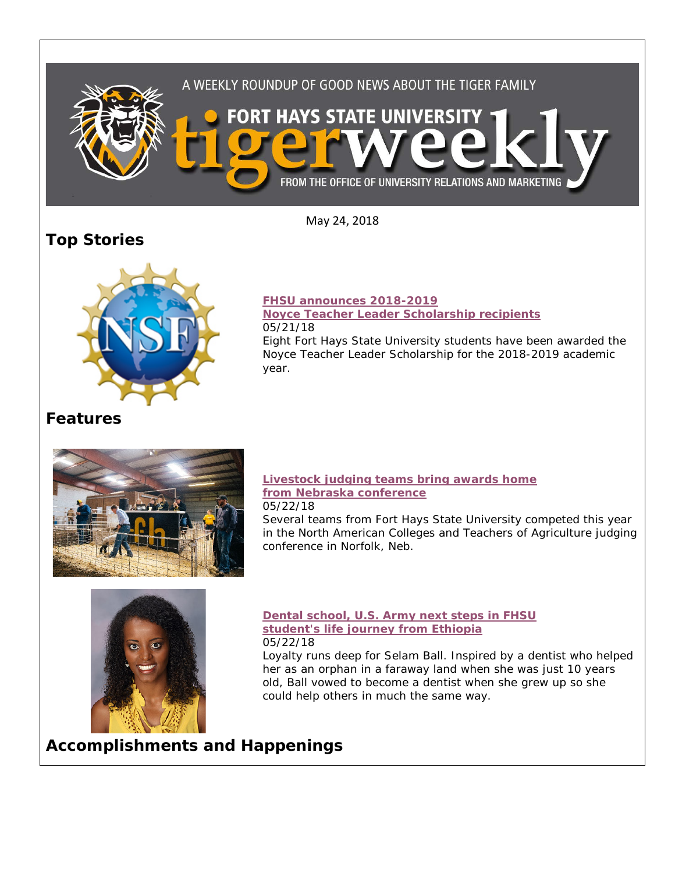

May 24, 2018

# **Top Stories**



### **[FHSU announces 2018-2019](https://www.fhsu.edu/news/2018/05/fhsu-announces-2018-2019-noyce-teacher-leader-scholarship-recipients)**

**[Noyce Teacher Leader Scholarship recipients](https://www.fhsu.edu/news/2018/05/fhsu-announces-2018-2019-noyce-teacher-leader-scholarship-recipients)** 05/21/18

Eight Fort Hays State University students have been awarded the Noyce Teacher Leader Scholarship for the 2018-2019 academic year.

## **Features**



#### **[Livestock judging teams bring awards home](https://www.fhsu.edu/news/2018/05/livestock-judging-teams-bring-awards-home-from-nebraska-conference)  [from Nebraska conference](https://www.fhsu.edu/news/2018/05/livestock-judging-teams-bring-awards-home-from-nebraska-conference)** 05/22/18

Several teams from Fort Hays State University competed this year in the North American Colleges and Teachers of Agriculture judging conference in Norfolk, Neb.



**[Dental school, U.S. Army next steps in FHSU](https://www.fhsu.edu/news/2018/05/dental-school,-u.s.-army-next-steps-in-fhsu-students-life-journey-from-ethiopia) [student's life journey from Ethiopia](https://www.fhsu.edu/news/2018/05/dental-school,-u.s.-army-next-steps-in-fhsu-students-life-journey-from-ethiopia)** 05/22/18

Loyalty runs deep for Selam Ball. Inspired by a dentist who helped her as an orphan in a faraway land when she was just 10 years old, Ball vowed to become a dentist when she grew up so she could help others in much the same way.

**Accomplishments and Happenings**